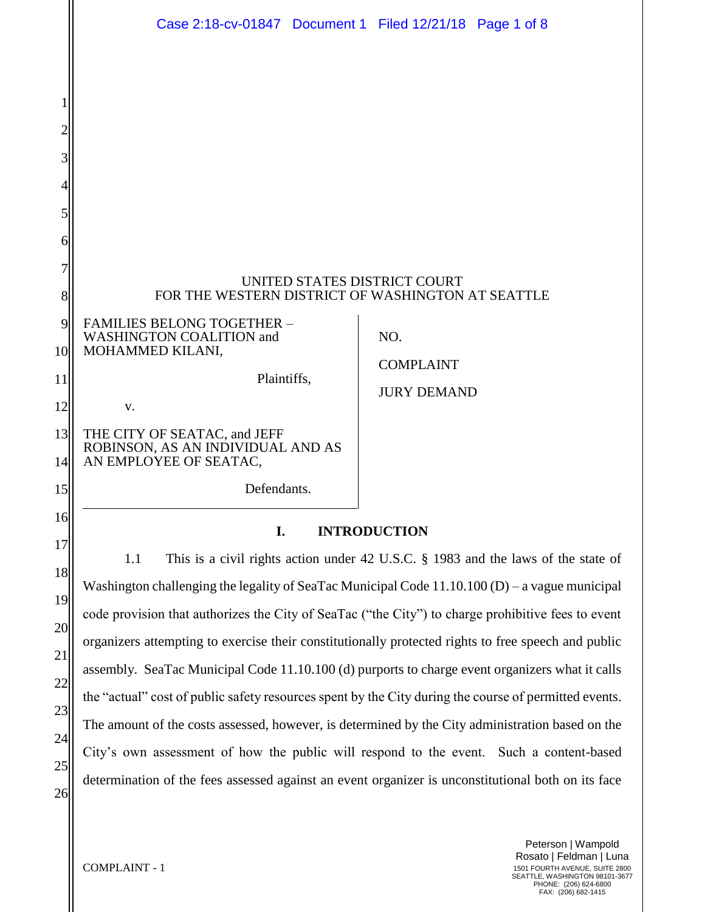|          | Case 2:18-cv-01847 Document 1 Filed 12/21/18 Page 1 of 8                                              |                    |  |
|----------|-------------------------------------------------------------------------------------------------------|--------------------|--|
|          |                                                                                                       |                    |  |
|          |                                                                                                       |                    |  |
|          |                                                                                                       |                    |  |
|          |                                                                                                       |                    |  |
| 3        |                                                                                                       |                    |  |
|          |                                                                                                       |                    |  |
| 5        |                                                                                                       |                    |  |
| 6        |                                                                                                       |                    |  |
|          | UNITED STATES DISTRICT COURT                                                                          |                    |  |
| 8        | FOR THE WESTERN DISTRICT OF WASHINGTON AT SEATTLE                                                     |                    |  |
| 9        | <b>FAMILIES BELONG TOGETHER -</b><br>WASHINGTON COALITION and<br>NO.                                  |                    |  |
| 10       | MOHAMMED KILANI,                                                                                      | <b>COMPLAINT</b>   |  |
| 11       | Plaintiffs,                                                                                           | <b>JURY DEMAND</b> |  |
| 12       | V.                                                                                                    |                    |  |
| 13<br>14 | THE CITY OF SEATAC, and JEFF<br>ROBINSON, AS AN INDIVIDUAL AND AS<br>AN EMPLOYEE OF SEATAC,           |                    |  |
| 15       | Defendants.                                                                                           |                    |  |
| 16       | I.<br><b>INTRODUCTION</b>                                                                             |                    |  |
| 17       | 1.1<br>This is a civil rights action under 42 U.S.C. § 1983 and the laws of the state of              |                    |  |
| 18       | Washington challenging the legality of SeaTac Municipal Code $11.10.100$ (D) – a vague municipal      |                    |  |
| 19       | code provision that authorizes the City of SeaTac ("the City") to charge prohibitive fees to event    |                    |  |
| 20       | organizers attempting to exercise their constitutionally protected rights to free speech and public   |                    |  |
| 21       | assembly. SeaTac Municipal Code 11.10.100 (d) purports to charge event organizers what it calls       |                    |  |
| 22       | the "actual" cost of public safety resources spent by the City during the course of permitted events. |                    |  |
| 23       | The amount of the costs assessed, however, is determined by the City administration based on the      |                    |  |
| 24       | City's own assessment of how the public will respond to the event. Such a content-based               |                    |  |
| 25       | determination of the fees assessed against an event organizer is unconstitutional both on its face    |                    |  |
| 26       |                                                                                                       |                    |  |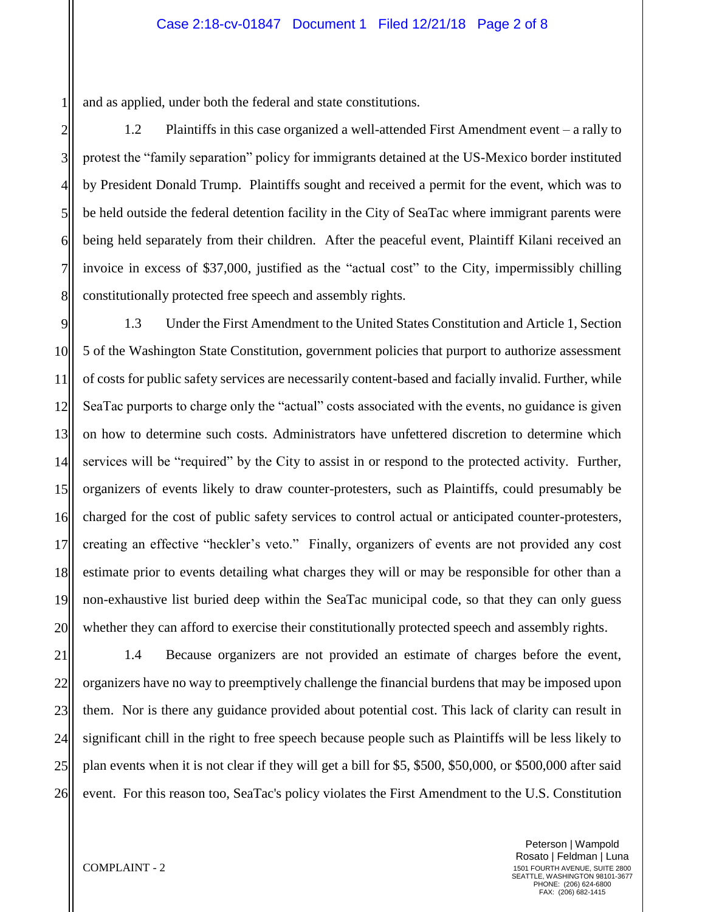and as applied, under both the federal and state constitutions.

1

2

3

4

5

6

7

8

1.2 Plaintiffs in this case organized a well-attended First Amendment event – a rally to protest the "family separation" policy for immigrants detained at the US-Mexico border instituted by President Donald Trump. Plaintiffs sought and received a permit for the event, which was to be held outside the federal detention facility in the City of SeaTac where immigrant parents were being held separately from their children. After the peaceful event, Plaintiff Kilani received an invoice in excess of \$37,000, justified as the "actual cost" to the City, impermissibly chilling constitutionally protected free speech and assembly rights.

9 10 11 12 13 14 15 16 17 18 19 20 1.3 Under the First Amendment to the United States Constitution and Article 1, Section 5 of the Washington State Constitution, government policies that purport to authorize assessment of costs for public safety services are necessarily content-based and facially invalid. Further, while SeaTac purports to charge only the "actual" costs associated with the events, no guidance is given on how to determine such costs. Administrators have unfettered discretion to determine which services will be "required" by the City to assist in or respond to the protected activity. Further, organizers of events likely to draw counter-protesters, such as Plaintiffs, could presumably be charged for the cost of public safety services to control actual or anticipated counter-protesters, creating an effective "heckler's veto." Finally, organizers of events are not provided any cost estimate prior to events detailing what charges they will or may be responsible for other than a non-exhaustive list buried deep within the SeaTac municipal code, so that they can only guess whether they can afford to exercise their constitutionally protected speech and assembly rights.

21 22 23 24 25 26 1.4 Because organizers are not provided an estimate of charges before the event, organizers have no way to preemptively challenge the financial burdens that may be imposed upon them. Nor is there any guidance provided about potential cost. This lack of clarity can result in significant chill in the right to free speech because people such as Plaintiffs will be less likely to plan events when it is not clear if they will get a bill for \$5, \$500, \$50,000, or \$500,000 after said event. For this reason too, SeaTac's policy violates the First Amendment to the U.S. Constitution

> Peterson | Wampold Rosato | Feldman | Luna 1501 FOURTH AVENUE, SUITE 2800 SEATTLE, WASHINGTON 98101-3677 PHONE: (206) 624-6800 FAX: (206) 682-1415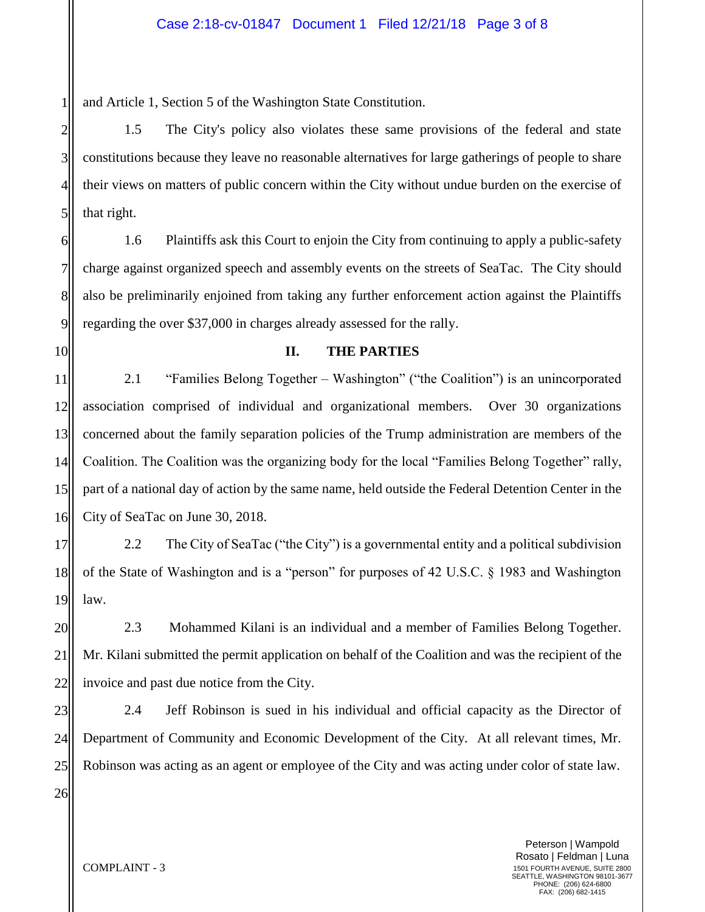and Article 1, Section 5 of the Washington State Constitution.

1.5 The City's policy also violates these same provisions of the federal and state constitutions because they leave no reasonable alternatives for large gatherings of people to share their views on matters of public concern within the City without undue burden on the exercise of that right.

6 7 8 9 1.6 Plaintiffs ask this Court to enjoin the City from continuing to apply a public-safety charge against organized speech and assembly events on the streets of SeaTac. The City should also be preliminarily enjoined from taking any further enforcement action against the Plaintiffs regarding the over \$37,000 in charges already assessed for the rally.

10

1

2

3

4

5

### **II. THE PARTIES**

11 12 13 14 15 16 2.1 "Families Belong Together – Washington" ("the Coalition") is an unincorporated association comprised of individual and organizational members. Over 30 organizations concerned about the family separation policies of the Trump administration are members of the Coalition. The Coalition was the organizing body for the local "Families Belong Together" rally, part of a national day of action by the same name, held outside the Federal Detention Center in the City of SeaTac on June 30, 2018.

17 18 19 2.2 The City of SeaTac ("the City") is a governmental entity and a political subdivision of the State of Washington and is a "person" for purposes of 42 U.S.C. § 1983 and Washington law.

20 21 22 2.3 Mohammed Kilani is an individual and a member of Families Belong Together. Mr. Kilani submitted the permit application on behalf of the Coalition and was the recipient of the invoice and past due notice from the City.

23 24 25 2.4 Jeff Robinson is sued in his individual and official capacity as the Director of Department of Community and Economic Development of the City. At all relevant times, Mr. Robinson was acting as an agent or employee of the City and was acting under color of state law.

26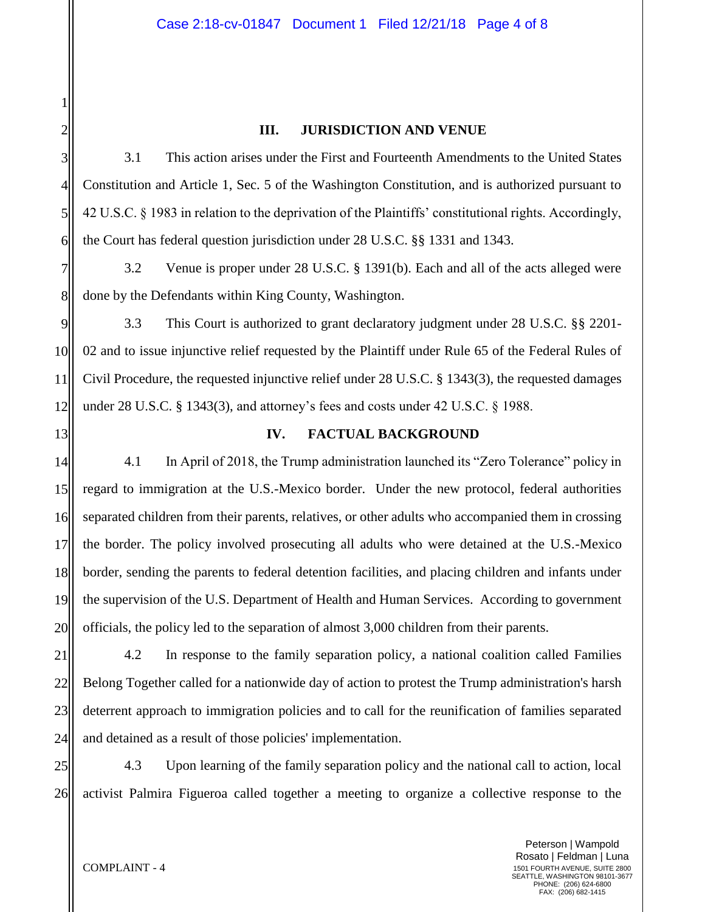# **III. JURISDICTION AND VENUE**

3.1 This action arises under the First and Fourteenth Amendments to the United States Constitution and Article 1, Sec. 5 of the Washington Constitution, and is authorized pursuant to 42 U.S.C. § 1983 in relation to the deprivation of the Plaintiffs' constitutional rights. Accordingly, the Court has federal question jurisdiction under 28 U.S.C. §§ 1331 and 1343.

7 8 3.2 Venue is proper under 28 U.S.C. § 1391(b). Each and all of the acts alleged were done by the Defendants within King County, Washington.

9 10 11 12 3.3 This Court is authorized to grant declaratory judgment under 28 U.S.C. §§ 2201- 02 and to issue injunctive relief requested by the Plaintiff under Rule 65 of the Federal Rules of Civil Procedure, the requested injunctive relief under 28 U.S.C. § 1343(3), the requested damages under 28 U.S.C.  $\S$  1343(3), and attorney's fees and costs under 42 U.S.C.  $\S$  1988.

**IV. FACTUAL BACKGROUND**

18 4.1 In April of 2018, the Trump administration launched its "Zero Tolerance" policy in regard to immigration at the U.S.-Mexico border. Under the new protocol, federal authorities separated children from their parents, relatives, or other adults who accompanied them in crossing the border. The policy involved prosecuting all adults who were detained at the U.S.-Mexico border, sending the parents to federal detention facilities, and placing children and infants under the supervision of the U.S. Department of Health and Human Services. According to government officials, the policy led to the separation of almost 3,000 children from their parents.

21 22 23 24 4.2 In response to the family separation policy, a national coalition called Families Belong Together called for a nationwide day of action to protest the Trump administration's harsh deterrent approach to immigration policies and to call for the reunification of families separated and detained as a result of those policies' implementation.

25 26 4.3 Upon learning of the family separation policy and the national call to action, local activist Palmira Figueroa called together a meeting to organize a collective response to the

1

2

3

4

5

6

13

14

15

16

17

19

20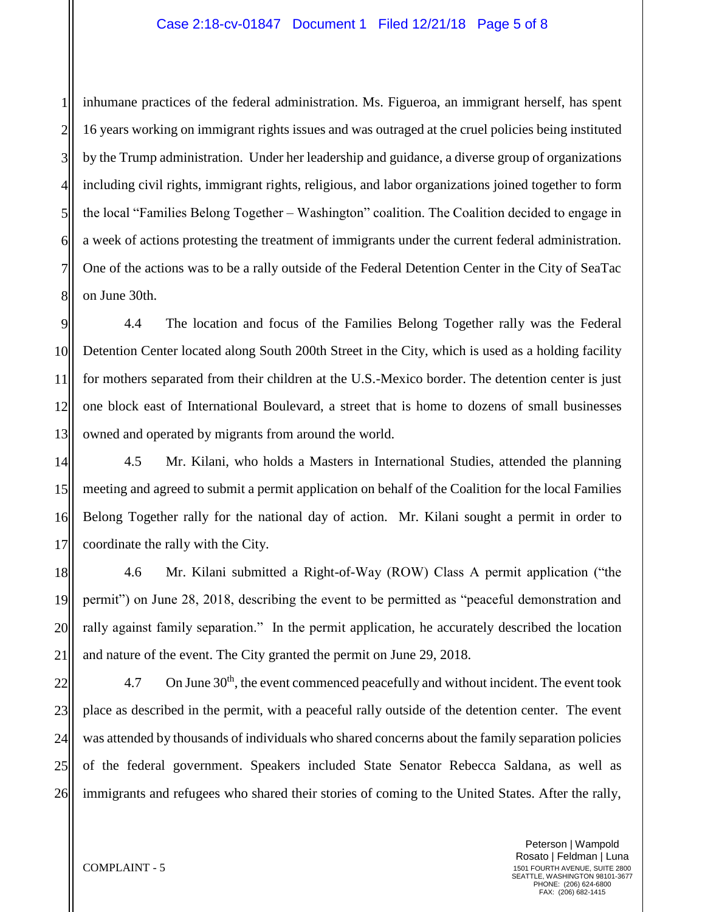1 2 3 4 5 6 7 8 inhumane practices of the federal administration. Ms. Figueroa, an immigrant herself, has spent 16 years working on immigrant rights issues and was outraged at the cruel policies being instituted by the Trump administration. Under her leadership and guidance, a diverse group of organizations including civil rights, immigrant rights, religious, and labor organizations joined together to form the local "Families Belong Together – Washington" coalition. The Coalition decided to engage in a week of actions protesting the treatment of immigrants under the current federal administration. One of the actions was to be a rally outside of the Federal Detention Center in the City of SeaTac on June 30th.

9 10 11 12 13 4.4 The location and focus of the Families Belong Together rally was the Federal Detention Center located along South 200th Street in the City, which is used as a holding facility for mothers separated from their children at the U.S.-Mexico border. The detention center is just one block east of International Boulevard, a street that is home to dozens of small businesses owned and operated by migrants from around the world.

14 15 16 17 4.5 Mr. Kilani, who holds a Masters in International Studies, attended the planning meeting and agreed to submit a permit application on behalf of the Coalition for the local Families Belong Together rally for the national day of action. Mr. Kilani sought a permit in order to coordinate the rally with the City.

18 19 20 21 4.6 Mr. Kilani submitted a Right-of-Way (ROW) Class A permit application ("the permit") on June 28, 2018, describing the event to be permitted as "peaceful demonstration and rally against family separation." In the permit application, he accurately described the location and nature of the event. The City granted the permit on June 29, 2018.

22 23 24 25 26 4.7 On June  $30<sup>th</sup>$ , the event commenced peacefully and without incident. The event took place as described in the permit, with a peaceful rally outside of the detention center. The event was attended by thousands of individuals who shared concerns about the family separation policies of the federal government. Speakers included State Senator Rebecca Saldana, as well as immigrants and refugees who shared their stories of coming to the United States. After the rally,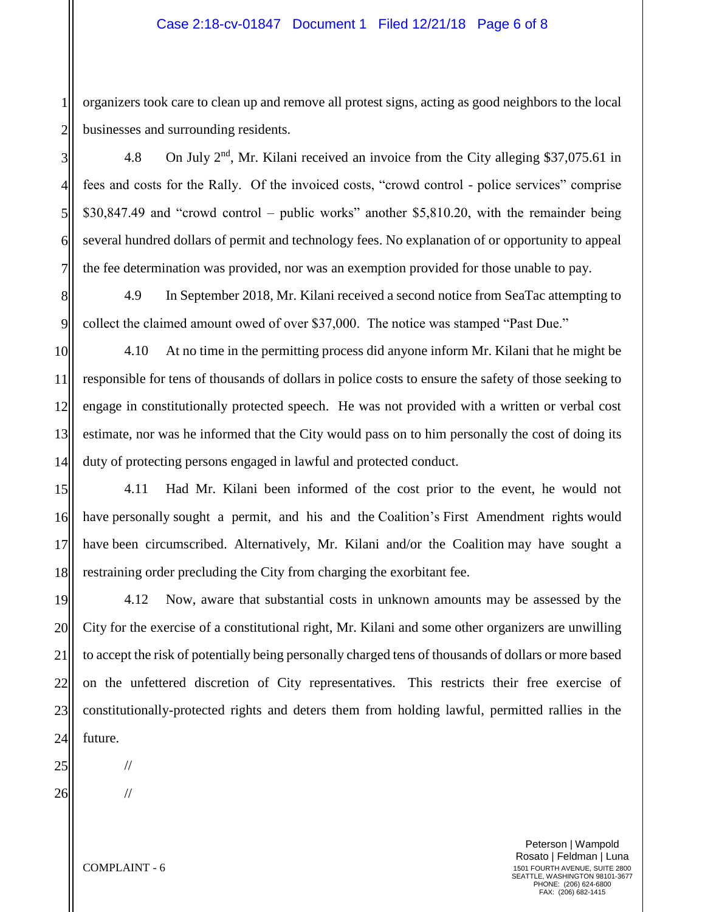organizers took care to clean up and remove all protest signs, acting as good neighbors to the local businesses and surrounding residents.

4.8 On July 2<sup>nd</sup>, Mr. Kilani received an invoice from the City alleging \$37,075.61 in fees and costs for the Rally. Of the invoiced costs, "crowd control - police services" comprise \$30,847.49 and "crowd control – public works" another \$5,810.20, with the remainder being several hundred dollars of permit and technology fees. No explanation of or opportunity to appeal the fee determination was provided, nor was an exemption provided for those unable to pay.

8 9 4.9 In September 2018, Mr. Kilani received a second notice from SeaTac attempting to collect the claimed amount owed of over \$37,000. The notice was stamped "Past Due."

10 11 12 13 14 4.10 At no time in the permitting process did anyone inform Mr. Kilani that he might be responsible for tens of thousands of dollars in police costs to ensure the safety of those seeking to engage in constitutionally protected speech. He was not provided with a written or verbal cost estimate, nor was he informed that the City would pass on to him personally the cost of doing its duty of protecting persons engaged in lawful and protected conduct.

15 16 17 18 4.11 Had Mr. Kilani been informed of the cost prior to the event, he would not have personally sought a permit, and his and the Coalition's First Amendment rights would have been circumscribed. Alternatively, Mr. Kilani and/or the Coalition may have sought a restraining order precluding the City from charging the exorbitant fee.

19 20 21 22 23 24 4.12 Now, aware that substantial costs in unknown amounts may be assessed by the City for the exercise of a constitutional right, Mr. Kilani and some other organizers are unwilling to accept the risk of potentially being personally charged tens of thousands of dollars or more based on the unfettered discretion of City representatives. This restricts their free exercise of constitutionally-protected rights and deters them from holding lawful, permitted rallies in the future.

26

25

1

2

3

4

5

6

7

Peterson | Wampold Rosato | Feldman | Luna 1501 FOURTH AVENUE, SUITE 2800 SEATTLE, WASHINGTON 98101-3677 PHONE: (206) 624-6800 FAX: (206) 682-1415

COMPLAINT - 6

//

//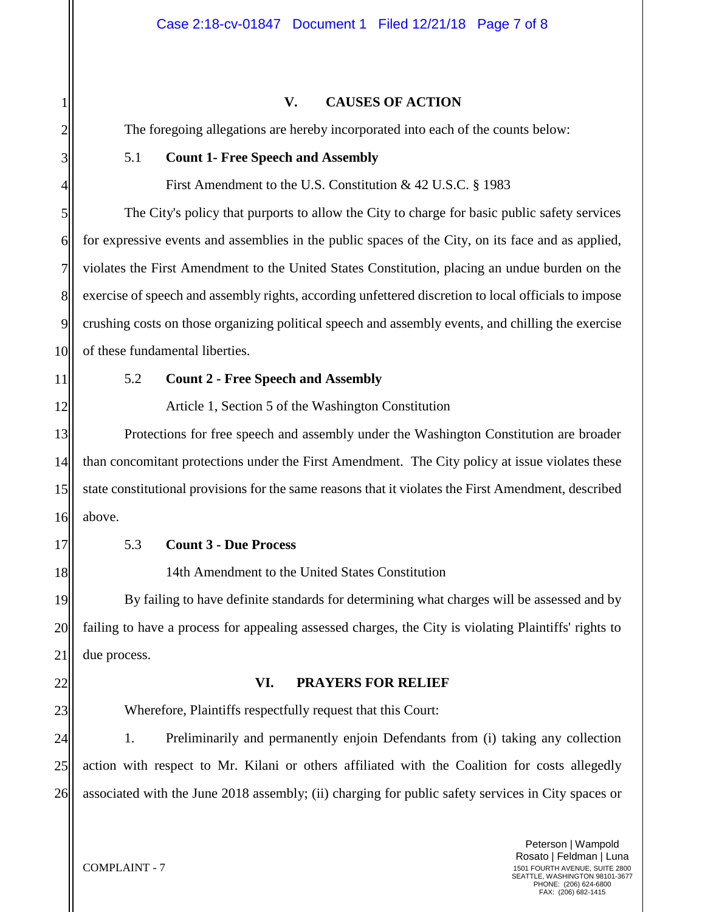### **V. CAUSES OF ACTION**

The foregoing allegations are hereby incorporated into each of the counts below:

#### 5.1 **Count 1- Free Speech and Assembly**

First Amendment to the U.S. Constitution & 42 U.S.C. § 1983

The City's policy that purports to allow the City to charge for basic public safety services for expressive events and assemblies in the public spaces of the City, on its face and as applied, violates the First Amendment to the United States Constitution, placing an undue burden on the exercise of speech and assembly rights, according unfettered discretion to local officials to impose crushing costs on those organizing political speech and assembly events, and chilling the exercise of these fundamental liberties.

1

2

3

4

5

6

7

8

9

10

11

12

13

14

15

# 5.2 **Count 2 - Free Speech and Assembly**

Article 1, Section 5 of the Washington Constitution

Protections for free speech and assembly under the Washington Constitution are broader than concomitant protections under the First Amendment. The City policy at issue violates these state constitutional provisions for the same reasons that it violates the First Amendment, described above.

16 17

18

19

20

21

22

23

## 5.3 **Count 3 - Due Process**

14th Amendment to the United States Constitution

By failing to have definite standards for determining what charges will be assessed and by failing to have a process for appealing assessed charges, the City is violating Plaintiffs' rights to due process.

#### **VI. PRAYERS FOR RELIEF**

Wherefore, Plaintiffs respectfully request that this Court:

24 25 26 1. Preliminarily and permanently enjoin Defendants from (i) taking any collection action with respect to Mr. Kilani or others affiliated with the Coalition for costs allegedly associated with the June 2018 assembly; (ii) charging for public safety services in City spaces or

> Peterson | Wampold Rosato | Feldman | Luna 1501 FOURTH AVENUE, SUITE 2800 SEATTLE, WASHINGTON 98101-3677 PHONE: (206) 624-6800 FAX: (206) 682-1415